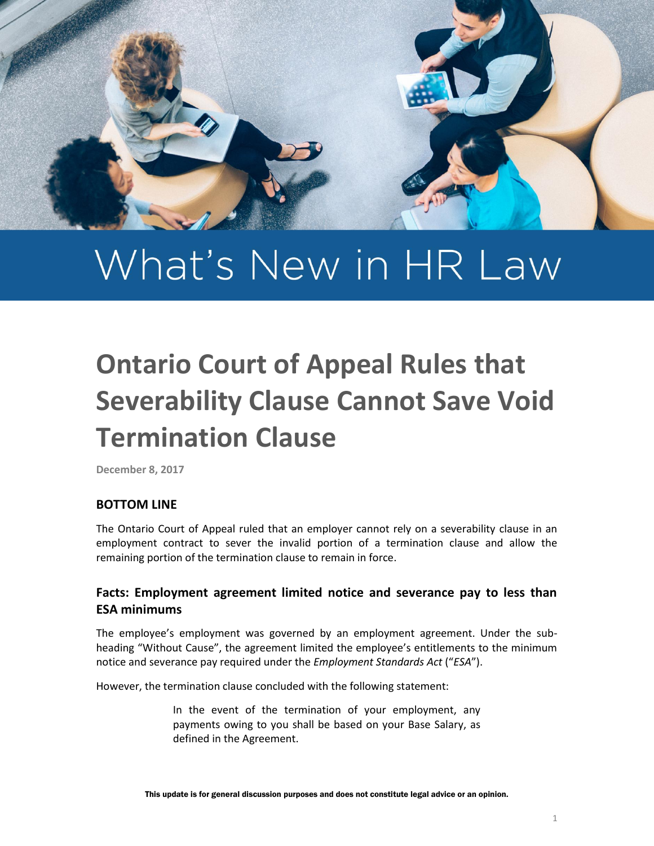

# What's New in HR Law

## **Ontario Court of Appeal Rules that Severability Clause Cannot Save Void Termination Clause**

**December 8, 2017**

#### **BOTTOM LINE**

The Ontario Court of Appeal ruled that an employer cannot rely on a severability clause in an employment contract to sever the invalid portion of a termination clause and allow the remaining portion of the termination clause to remain in force.

#### **Facts: Employment agreement limited notice and severance pay to less than ESA minimums**

The employee's employment was governed by an employment agreement. Under the subheading "Without Cause", the agreement limited the employee's entitlements to the minimum notice and severance pay required under the *Employment Standards Act* ("*ESA*").

However, the termination clause concluded with the following statement:

In the event of the termination of your employment, any payments owing to you shall be based on your Base Salary, as defined in the Agreement.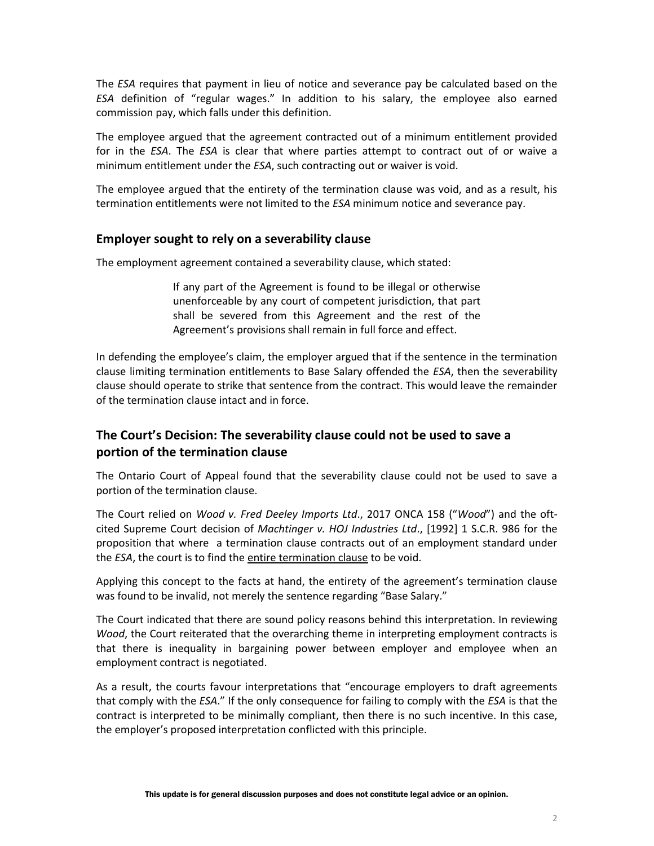The *ESA* requires that payment in lieu of notice and severance pay be calculated based on the *ESA* definition of "regular wages." In addition to his salary, the employee also earned commission pay, which falls under this definition.

The employee argued that the agreement contracted out of a minimum entitlement provided for in the *ESA*. The *ESA* is clear that where parties attempt to contract out of or waive a minimum entitlement under the *ESA*, such contracting out or waiver is void.

The employee argued that the entirety of the termination clause was void, and as a result, his termination entitlements were not limited to the *ESA* minimum notice and severance pay.

#### **Employer sought to rely on a severability clause**

The employment agreement contained a severability clause, which stated:

If any part of the Agreement is found to be illegal or otherwise unenforceable by any court of competent jurisdiction, that part shall be severed from this Agreement and the rest of the Agreement's provisions shall remain in full force and effect.

In defending the employee's claim, the employer argued that if the sentence in the termination clause limiting termination entitlements to Base Salary offended the *ESA*, then the severability clause should operate to strike that sentence from the contract. This would leave the remainder of the termination clause intact and in force.

### **The Court's Decision: The severability clause could not be used to save a portion of the termination clause**

The Ontario Court of Appeal found that the severability clause could not be used to save a portion of the termination clause.

The Court relied on *Wood v. Fred Deeley Imports Ltd*., 2017 ONCA 158 ("*Wood*") and the oftcited Supreme Court decision of *Machtinger v. HOJ Industries Ltd*., [1992] 1 S.C.R. 986 for the proposition that where a termination clause contracts out of an employment standard under the *ESA*, the court is to find the entire termination clause to be void.

Applying this concept to the facts at hand, the entirety of the agreement's termination clause was found to be invalid, not merely the sentence regarding "Base Salary."

The Court indicated that there are sound policy reasons behind this interpretation. In reviewing *Wood*, the Court reiterated that the overarching theme in interpreting employment contracts is that there is inequality in bargaining power between employer and employee when an employment contract is negotiated.

As a result, the courts favour interpretations that "encourage employers to draft agreements that comply with the *ESA*." If the only consequence for failing to comply with the *ESA* is that the contract is interpreted to be minimally compliant, then there is no such incentive. In this case, the employer's proposed interpretation conflicted with this principle.